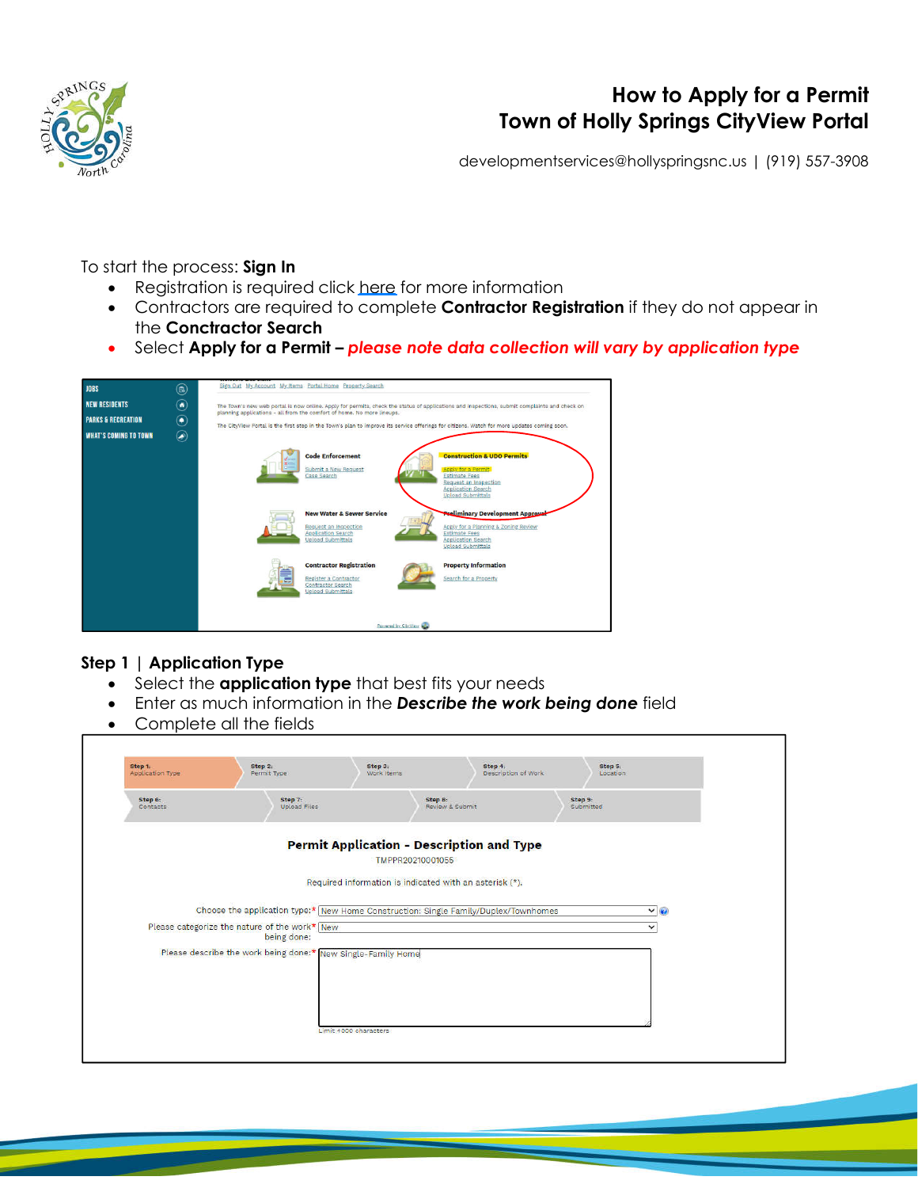

# **How to Apply for a Permit Town of Holly Springs CityView Portal**

developmentservices@hollyspringsnc.us | (919) 557-3908

To start the process: **Sign In**

- Registration is required click here for more information
- Contractors are required to complete **Contractor Registration** if they do not appear in the **Conctractor Search**
- Select **Apply for a Permit –** *please note data collection will vary by application type*



#### **Step 1 | Application Type**

- Select the **application type** that best fits your needs
- Enter as much information in the *Describe the work being done* field
- Complete all the fields

| Application Type    | Permit Type                                                                         | Work Items       |                                                         | Description of Work  | Location    |  |
|---------------------|-------------------------------------------------------------------------------------|------------------|---------------------------------------------------------|----------------------|-------------|--|
| Step 6:<br>Contacts | Step 7:<br>Upload Files                                                             |                  | Step 8:<br>Review & Submit                              | Step 9:<br>Submitted |             |  |
|                     |                                                                                     | TMPPR20210001055 | <b>Permit Application - Description and Type</b>        |                      |             |  |
|                     |                                                                                     |                  | Required information is indicated with an asterisk (*). |                      |             |  |
|                     | Choose the application type:* New Home Construction: Single Family/Duplex/Townhomes |                  |                                                         |                      | $\vee$      |  |
|                     | Please categorize the nature of the work* New<br>being done:                        |                  |                                                         |                      | $\check{~}$ |  |
|                     | Please describe the work being done:* New Single-Family Home                        |                  |                                                         |                      |             |  |
|                     |                                                                                     |                  |                                                         |                      |             |  |
|                     |                                                                                     |                  |                                                         |                      |             |  |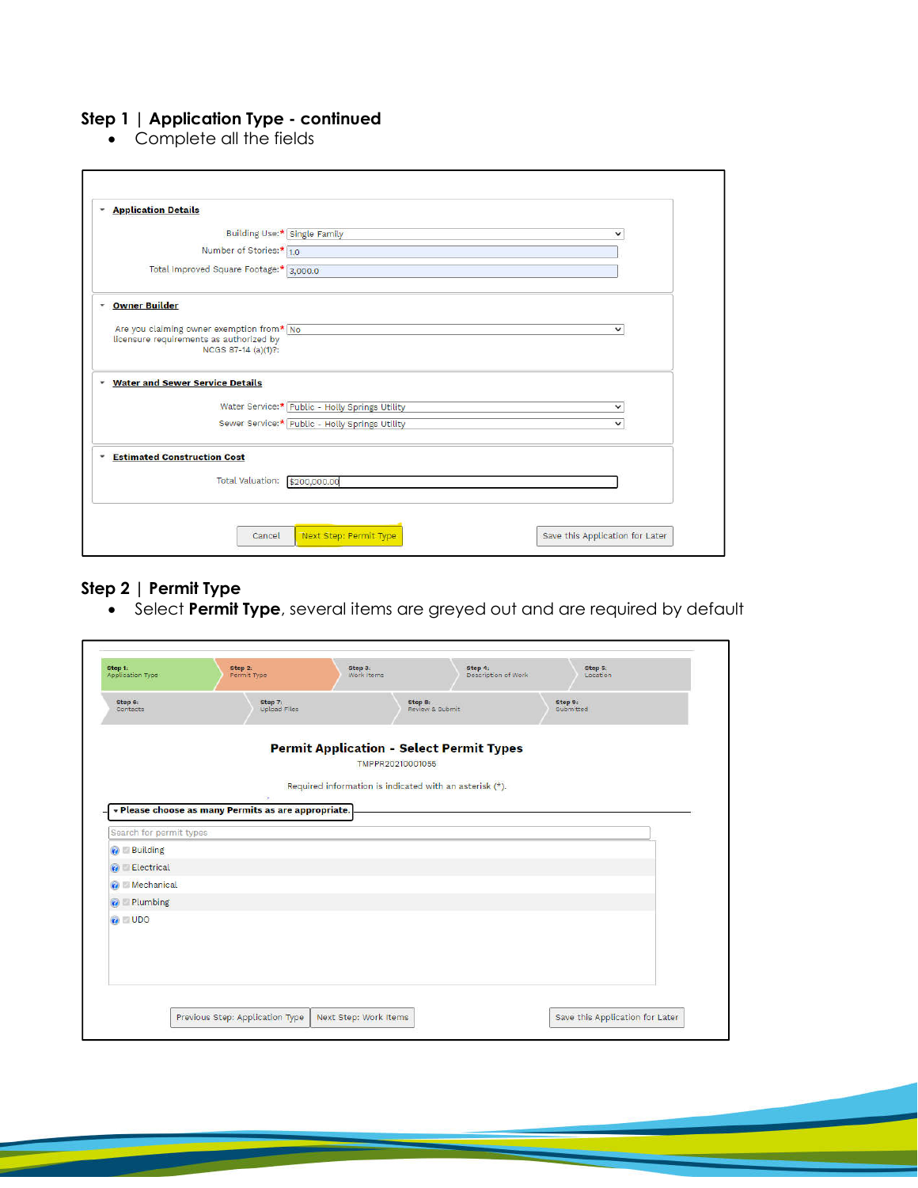## **Step 1 | Application Type - continued**

• Complete all the fields

|                           | Building Use:* Single Family                                                                                |                                                | v            |
|---------------------------|-------------------------------------------------------------------------------------------------------------|------------------------------------------------|--------------|
|                           | Number of Stories:* 1.0                                                                                     |                                                |              |
|                           | Total Improved Square Footage:* 3,000.0                                                                     |                                                |              |
| <b>Owner Builder</b><br>٠ |                                                                                                             |                                                |              |
|                           | Are you claiming owner exemption from* No<br>licensure requirements as authorized by<br>NCGS 87-14 (a)(1)?: |                                                | $\checkmark$ |
| ٠                         | <b>Water and Sewer Service Details</b>                                                                      |                                                |              |
|                           |                                                                                                             | Water Service:* Public - Holly Springs Utility | $\checkmark$ |
|                           |                                                                                                             | Sewer Service:* Public - Holly Springs Utility | $\checkmark$ |
| ٠                         | <b>Estimated Construction Cost</b>                                                                          |                                                |              |
|                           | Total Valuation: \$200,000.00                                                                               |                                                |              |

### **Step 2 | Permit Type**

Select **Permit Type**, several items are greyed out and are required by default

| Application Type                       | Step 2:<br>Permit Type                                   | Step 3:<br>Work Items                                               | Step 4:<br>Description of Work | Step 5:<br>Location  |
|----------------------------------------|----------------------------------------------------------|---------------------------------------------------------------------|--------------------------------|----------------------|
| Step 6:<br>Contacts                    | Step 7:<br>Upload Files                                  | Step 8:                                                             | Review & Submit                | Step 9:<br>Submitted |
|                                        |                                                          | <b>Permit Application - Select Permit Types</b><br>TMPPR20210001055 |                                |                      |
|                                        |                                                          | Required information is indicated with an asterisk (*).             |                                |                      |
|                                        | ×<br>« Please choose as many Permits as are appropriate. |                                                                     |                                |                      |
|                                        |                                                          |                                                                     |                                |                      |
| Search for permit types                |                                                          |                                                                     |                                |                      |
| <b>O</b> Building                      |                                                          |                                                                     |                                |                      |
| Electrical<br>G                        |                                                          |                                                                     |                                |                      |
|                                        |                                                          |                                                                     |                                |                      |
|                                        |                                                          |                                                                     |                                |                      |
| Mechanical<br>Plumbing<br>$\mathbf{G}$ |                                                          |                                                                     |                                |                      |
| <b>VOID</b> UDO                        |                                                          |                                                                     |                                |                      |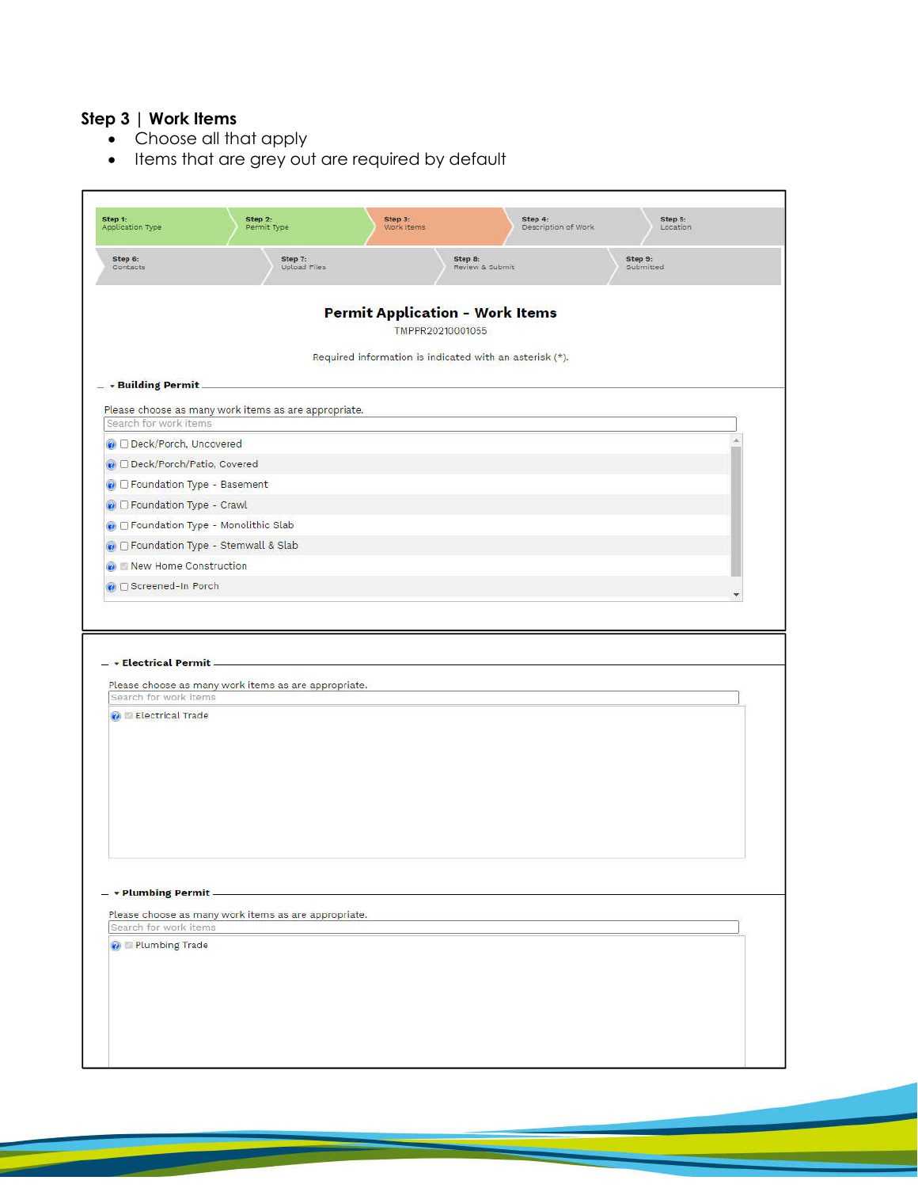## **Step 3 | Work Items**

- Choose all that apply
- Items that are grey out are required by default

| Step 6:<br>Step 7:<br>Step 9:<br>Step 8:<br>Contacts<br><b>Upload Files</b><br>Review & Submit<br>Submitted<br><b>Permit Application - Work Items</b><br>TMPPR20210001055<br>Required information is indicated with an asterisk (*).<br>- Building Permit<br>Please choose as many work items as are appropriate.<br>Search for work items<br>Deck/Porch, Uncovered<br>O Deck/Porch/Patio, Covered<br>O D Foundation Type - Basement<br>O Foundation Type - Crawl<br>O Foundation Type - Monolithic Slab<br>C Foundation Type - Stemwall & Slab<br>Mew Home Construction<br><b>O</b> DiScreened-In Porch<br>- » Electrical Permit.<br>Please choose as many work items as are appropriate.<br>Search for work items<br><b>C</b> Electrical Trade<br>- - Plumbing Permit -<br>Please choose as many work items as are appropriate.<br>Search for work items<br><b>O</b> Plumbing Trade | Step 1:<br>Application Type | Step 2:<br>Permit Type | Step 3:<br>Work Items | Step 4:<br>Description of Work | Step 5:<br>Location |
|---------------------------------------------------------------------------------------------------------------------------------------------------------------------------------------------------------------------------------------------------------------------------------------------------------------------------------------------------------------------------------------------------------------------------------------------------------------------------------------------------------------------------------------------------------------------------------------------------------------------------------------------------------------------------------------------------------------------------------------------------------------------------------------------------------------------------------------------------------------------------------------|-----------------------------|------------------------|-----------------------|--------------------------------|---------------------|
|                                                                                                                                                                                                                                                                                                                                                                                                                                                                                                                                                                                                                                                                                                                                                                                                                                                                                       |                             |                        |                       |                                |                     |
|                                                                                                                                                                                                                                                                                                                                                                                                                                                                                                                                                                                                                                                                                                                                                                                                                                                                                       |                             |                        |                       |                                |                     |
|                                                                                                                                                                                                                                                                                                                                                                                                                                                                                                                                                                                                                                                                                                                                                                                                                                                                                       |                             |                        |                       |                                |                     |
|                                                                                                                                                                                                                                                                                                                                                                                                                                                                                                                                                                                                                                                                                                                                                                                                                                                                                       |                             |                        |                       |                                |                     |
|                                                                                                                                                                                                                                                                                                                                                                                                                                                                                                                                                                                                                                                                                                                                                                                                                                                                                       |                             |                        |                       |                                |                     |
|                                                                                                                                                                                                                                                                                                                                                                                                                                                                                                                                                                                                                                                                                                                                                                                                                                                                                       |                             |                        |                       |                                |                     |
|                                                                                                                                                                                                                                                                                                                                                                                                                                                                                                                                                                                                                                                                                                                                                                                                                                                                                       |                             |                        |                       |                                |                     |
|                                                                                                                                                                                                                                                                                                                                                                                                                                                                                                                                                                                                                                                                                                                                                                                                                                                                                       |                             |                        |                       |                                |                     |
|                                                                                                                                                                                                                                                                                                                                                                                                                                                                                                                                                                                                                                                                                                                                                                                                                                                                                       |                             |                        |                       |                                |                     |
|                                                                                                                                                                                                                                                                                                                                                                                                                                                                                                                                                                                                                                                                                                                                                                                                                                                                                       |                             |                        |                       |                                |                     |
|                                                                                                                                                                                                                                                                                                                                                                                                                                                                                                                                                                                                                                                                                                                                                                                                                                                                                       |                             |                        |                       |                                |                     |
|                                                                                                                                                                                                                                                                                                                                                                                                                                                                                                                                                                                                                                                                                                                                                                                                                                                                                       |                             |                        |                       |                                |                     |
|                                                                                                                                                                                                                                                                                                                                                                                                                                                                                                                                                                                                                                                                                                                                                                                                                                                                                       |                             |                        |                       |                                |                     |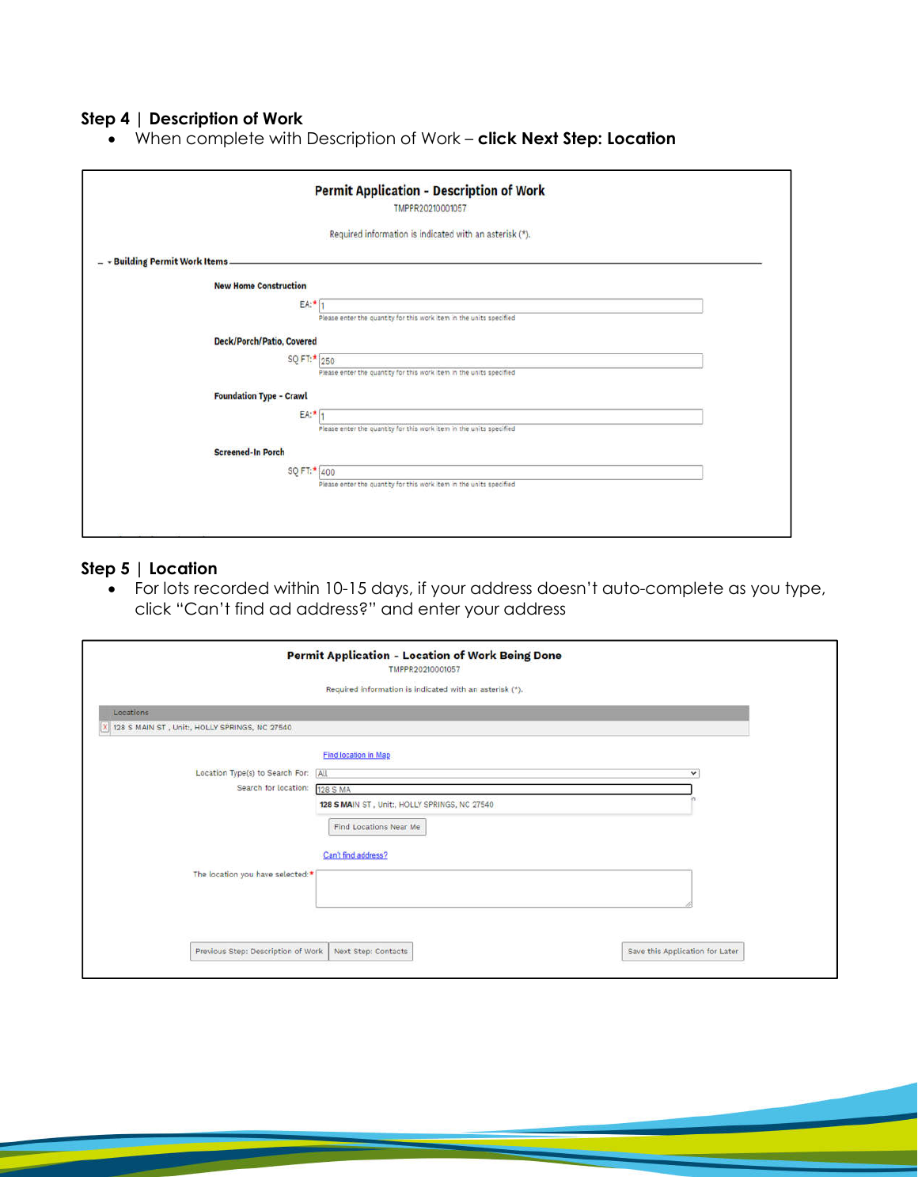#### **Step 4 | Description of Work**

When complete with Description of Work – **click Next Step: Location**

|                                | <b>Permit Application - Description of Work</b><br>TMPPR20210001057 |
|--------------------------------|---------------------------------------------------------------------|
|                                | Required information is indicated with an asterisk (*).             |
| - Building Permit Work Items   |                                                                     |
| <b>New Home Construction</b>   |                                                                     |
| EA:*                           | Please enter the quantity for this work item in the units specified |
| Deck/Porch/Patio, Covered      |                                                                     |
| SQ FT:* 250                    | Please enter the quantity for this work item in the units specified |
| <b>Foundation Type - Crawl</b> |                                                                     |
| EA:*                           | Please enter the quantity for this work item in the units specified |
| <b>Screened-In Porch</b>       |                                                                     |
| SQ FT:* 400                    | Please enter the quantity for this work item in the units specified |
|                                |                                                                     |

#### **Step 5 | Location**

 For lots recorded within 10-15 days, if your address doesn't auto-complete as you type, click "Can't find ad address?" and enter your address

|                                               | <b>Permit Application - Location of Work Being Done</b><br>TMPPR20210001057 |                                 |
|-----------------------------------------------|-----------------------------------------------------------------------------|---------------------------------|
|                                               | Required information is indicated with an asterisk (*).                     |                                 |
| Locations                                     |                                                                             |                                 |
| 128 S MAIN ST, Unit:, HOLLY SPRINGS, NC 27540 |                                                                             |                                 |
|                                               | <b>Find location in Map</b>                                                 |                                 |
| Location Type(s) to Search For: All           |                                                                             | $\checkmark$                    |
| Search for location:                          | 128 S MA                                                                    |                                 |
|                                               | 128 S MAIN ST, Unit:, HOLLY SPRINGS, NC 27540                               |                                 |
|                                               | Find Locations Near Me                                                      |                                 |
|                                               | Can't find address?                                                         |                                 |
| The location you have selected:*              |                                                                             |                                 |
|                                               |                                                                             |                                 |
|                                               |                                                                             |                                 |
|                                               |                                                                             |                                 |
| Previous Step: Description of Work            | Next Step: Contacts                                                         | Save this Application for Later |
|                                               |                                                                             |                                 |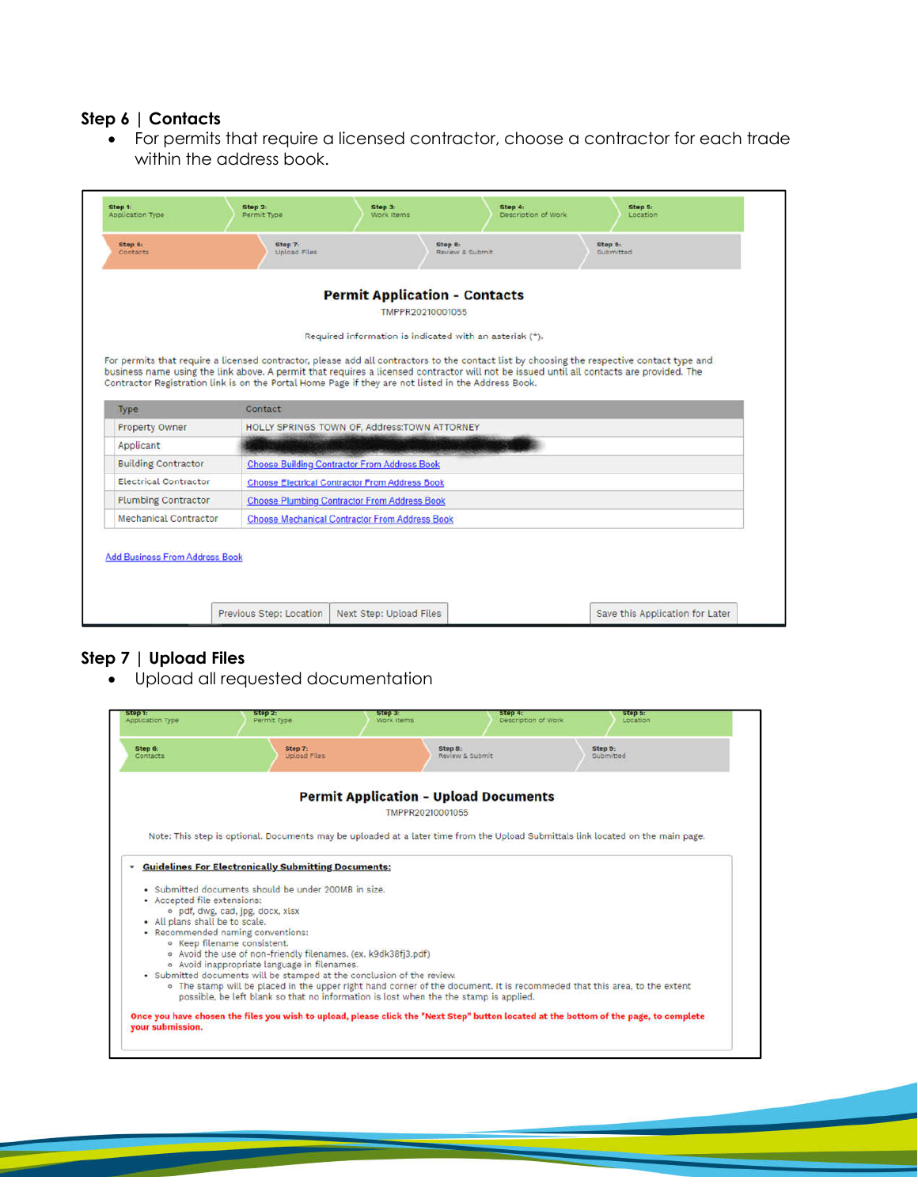#### **Step 6 | Contacts**

 For permits that require a licensed contractor, choose a contractor for each trade within the address book.

|                                                                                                                                                          |         | <b>Permit Application - Contacts</b>                                                                |                                                                                                                                                                                                                                                                                        |
|----------------------------------------------------------------------------------------------------------------------------------------------------------|---------|-----------------------------------------------------------------------------------------------------|----------------------------------------------------------------------------------------------------------------------------------------------------------------------------------------------------------------------------------------------------------------------------------------|
|                                                                                                                                                          |         | TMPPR20210001055                                                                                    |                                                                                                                                                                                                                                                                                        |
|                                                                                                                                                          |         | Required information is indicated with an asterisk (*).                                             |                                                                                                                                                                                                                                                                                        |
|                                                                                                                                                          |         |                                                                                                     |                                                                                                                                                                                                                                                                                        |
|                                                                                                                                                          |         |                                                                                                     | For permits that require a licensed contractor, please add all contractors to the contact list by choosing the respective contact type and<br>business name using the link above. A permit that requires a licensed contractor will not be issued until all contacts are provided. The |
|                                                                                                                                                          |         | Contractor Registration link is on the Portal Home Page if they are not listed in the Address Book. |                                                                                                                                                                                                                                                                                        |
|                                                                                                                                                          |         |                                                                                                     |                                                                                                                                                                                                                                                                                        |
|                                                                                                                                                          |         |                                                                                                     |                                                                                                                                                                                                                                                                                        |
|                                                                                                                                                          | Contact |                                                                                                     |                                                                                                                                                                                                                                                                                        |
|                                                                                                                                                          |         | HOLLY SPRINGS TOWN OF, Address:TOWN ATTORNEY                                                        |                                                                                                                                                                                                                                                                                        |
|                                                                                                                                                          |         |                                                                                                     |                                                                                                                                                                                                                                                                                        |
|                                                                                                                                                          |         | <b>Choose Building Contractor From Address Book</b>                                                 |                                                                                                                                                                                                                                                                                        |
|                                                                                                                                                          |         | <b>Choose Electrical Contractor From Address Book</b>                                               |                                                                                                                                                                                                                                                                                        |
|                                                                                                                                                          |         | <b>Choose Plumbing Contractor From Address Book</b>                                                 |                                                                                                                                                                                                                                                                                        |
| Type<br>Property Owner<br>Applicant<br><b>Building Contractor</b><br><b>Electrical Contractor</b><br><b>Plumbing Contractor</b><br>Mechanical Contractor |         | <b>Choose Mechanical Contractor From Address Book</b>                                               |                                                                                                                                                                                                                                                                                        |
|                                                                                                                                                          |         |                                                                                                     |                                                                                                                                                                                                                                                                                        |
|                                                                                                                                                          |         |                                                                                                     |                                                                                                                                                                                                                                                                                        |
| <b>Add Business From Address Book</b>                                                                                                                    |         |                                                                                                     |                                                                                                                                                                                                                                                                                        |

#### **Step 7 | Upload Files**

Upload all requested documentation

| Step 6:<br>Contacts               | Step 7:<br>Upload Files                                        | Step 8:                                                                               | Review & Submit | Step 9:<br>Submitted                                                                                                             |
|-----------------------------------|----------------------------------------------------------------|---------------------------------------------------------------------------------------|-----------------|----------------------------------------------------------------------------------------------------------------------------------|
|                                   |                                                                | <b>Permit Application - Upload Documents</b>                                          |                 |                                                                                                                                  |
|                                   |                                                                | TMPPR20210001055                                                                      |                 |                                                                                                                                  |
|                                   |                                                                |                                                                                       |                 | Note: This step is optional. Documents may be uploaded at a later time from the Upload Submittals link located on the main page. |
|                                   | <b>Guidelines For Electronically Submitting Documents:</b>     |                                                                                       |                 |                                                                                                                                  |
|                                   | . Submitted documents should be under 200MB in size.           |                                                                                       |                 |                                                                                                                                  |
| • Accepted file extensions:       |                                                                |                                                                                       |                 |                                                                                                                                  |
| • All plans shall be to scale.    | · pdf, dwg, cad, jpg, docx, xisx                               |                                                                                       |                 |                                                                                                                                  |
| • Recommended naming conventions: |                                                                |                                                                                       |                 |                                                                                                                                  |
| · Keep filename consistent.       |                                                                |                                                                                       |                 |                                                                                                                                  |
|                                   | · Avoid the use of non-friendly filenames. (ex. k9dk38fj3.pdf) |                                                                                       |                 |                                                                                                                                  |
|                                   | · Avoid inappropriate language in filenames.                   | · Submitted documents will be stamped at the conclusion of the review.                |                 |                                                                                                                                  |
|                                   |                                                                | possible, be left blank so that no information is lost when the the stamp is applied. |                 | . The stamp will be placed in the upper right hand corner of the document. It is recommeded that this area, to the extent        |
|                                   |                                                                |                                                                                       |                 |                                                                                                                                  |